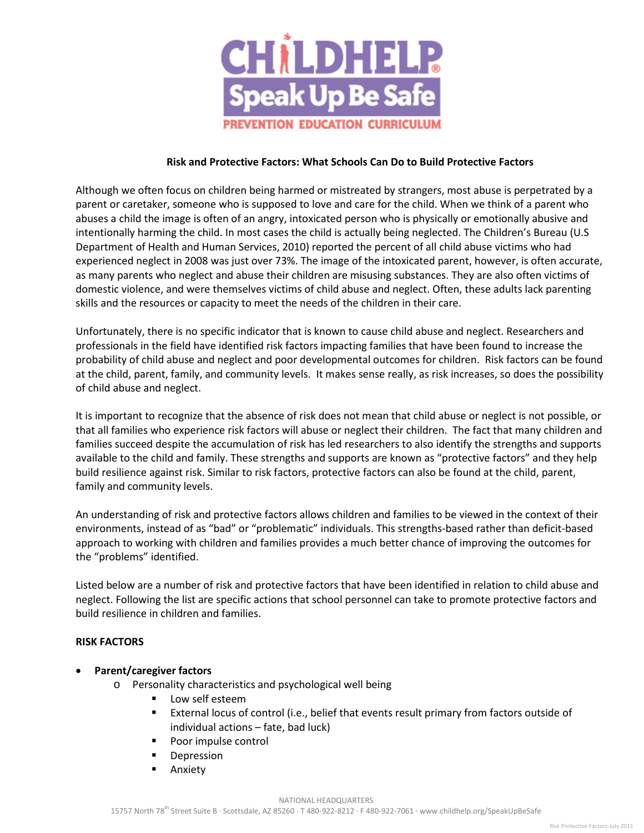

#### **Risk and Protective Factors: What Schools Can Do to Build Protective Factors**

Although we often focus on children being harmed or mistreated by strangers, most abuse is perpetrated by a parent or caretaker, someone who is supposed to love and care for the child. When we think of a parent who abuses a child the image is often of an angry, intoxicated person who is physically or emotionally abusive and intentionally harming the child. In most cases the child is actually being neglected. The Children's Bureau (U.S Department of Health and Human Services, 2010) reported the percent of all child abuse victims who had experienced neglect in 2008 was just over 73%. The image of the intoxicated parent, however, is often accurate, as many parents who neglect and abuse their children are misusing substances. They are also often victims of domestic violence, and were themselves victims of child abuse and neglect. Often, these adults lack parenting skills and the resources or capacity to meet the needs of the children in their care.

Unfortunately, there is no specific indicator that is known to cause child abuse and neglect. Researchers and professionals in the field have identified risk factors impacting families that have been found to increase the probability of child abuse and neglect and poor developmental outcomes for children. Risk factors can be found at the child, parent, family, and community levels. It makes sense really, as risk increases, so does the possibility of child abuse and neglect.

It is important to recognize that the absence of risk does not mean that child abuse or neglect is not possible, or that all families who experience risk factors will abuse or neglect their children. The fact that many children and families succeed despite the accumulation of risk has led researchers to also identify the strengths and supports available to the child and family. These strengths and supports are known as "protective factors" and they help build resilience against risk. Similar to risk factors, protective factors can also be found at the child, parent, family and community levels.

An understanding of risk and protective factors allows children and families to be viewed in the context of their environments, instead of as "bad" or "problematic" individuals. This strengths-based rather than deficit-based approach to working with children and families provides a much better chance of improving the outcomes for the "problems" identified.

Listed below are a number of risk and protective factors that have been identified in relation to child abuse and neglect. Following the list are specific actions that school personnel can take to promote protective factors and build resilience in children and families.

## **RISK FACTORS**

- **Parent/caregiver factors** 
	- o Personality characteristics and psychological well being
		- Low self esteem
		- External locus of control (i.e., belief that events result primary from factors outside of individual actions – fate, bad luck)
		- **Poor impulse control**
		- **Depression**
		- **Anxiety**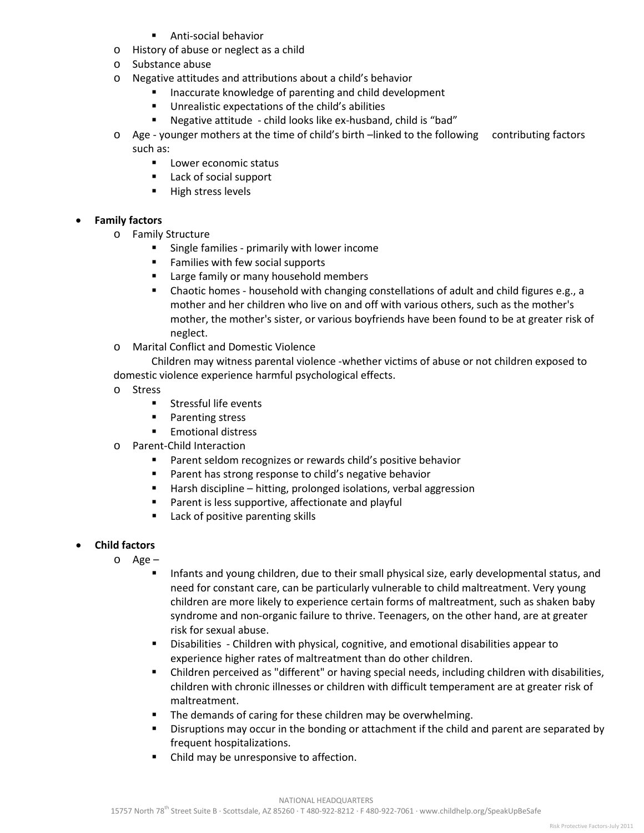- Anti-social behavior
- o History of abuse or neglect as a child
- o Substance abuse
- o Negative attitudes and attributions about a child's behavior
	- **Inaccurate knowledge of parenting and child development**
	- Unrealistic expectations of the child's abilities
	- Negative attitude child looks like ex-husband, child is "bad"

o Age - younger mothers at the time of child's birth –linked to the following contributing factors such as:

- **Lower economic status**
- Lack of social support
- **High stress levels**

## • **Family factors**

- o Family Structure<br>Single fa
	- Single families primarily with lower income
	- Families with few social supports
	- **EXTE:** Large family or many household members
	- Chaotic homes household with changing constellations of adult and child figures e.g., a mother and her children who live on and off with various others, such as the mother's mother, the mother's sister, or various boyfriends have been found to be at greater risk of neglect.
- o Marital Conflict and Domestic Violence

Children may witness parental violence -whether victims of abuse or not children exposed to domestic violence experience harmful psychological effects.

- o Stress
	- **Stressful life events**
	- **Parenting stress**
	- **Emotional distress**
- o Parent-Child Interaction
	- Parent seldom recognizes or rewards child's positive behavior
	- Parent has strong response to child's negative behavior
	- Harsh discipline hitting, prolonged isolations, verbal aggression
	- **Parent is less supportive, affectionate and playful**
	- Lack of positive parenting skills

## • **Child factors**

- o Age
	- **Infants and young children, due to their small physical size, early developmental status, and** need for constant care, can be particularly vulnerable to child maltreatment. Very young children are more likely to experience certain forms of maltreatment, such as shaken baby syndrome and non-organic failure to thrive. Teenagers, on the other hand, are at greater risk for sexual abuse.
	- Disabilities Children with physical, cognitive, and emotional disabilities appear to experience higher rates of maltreatment than do other children.
	- Children perceived as "different" or having special needs, including children with disabilities, children with chronic illnesses or children with difficult temperament are at greater risk of maltreatment.
	- The demands of caring for these children may be overwhelming.
	- **Disruptions may occur in the bonding or attachment if the child and parent are separated by** frequent hospitalizations.
	- Child may be unresponsive to affection.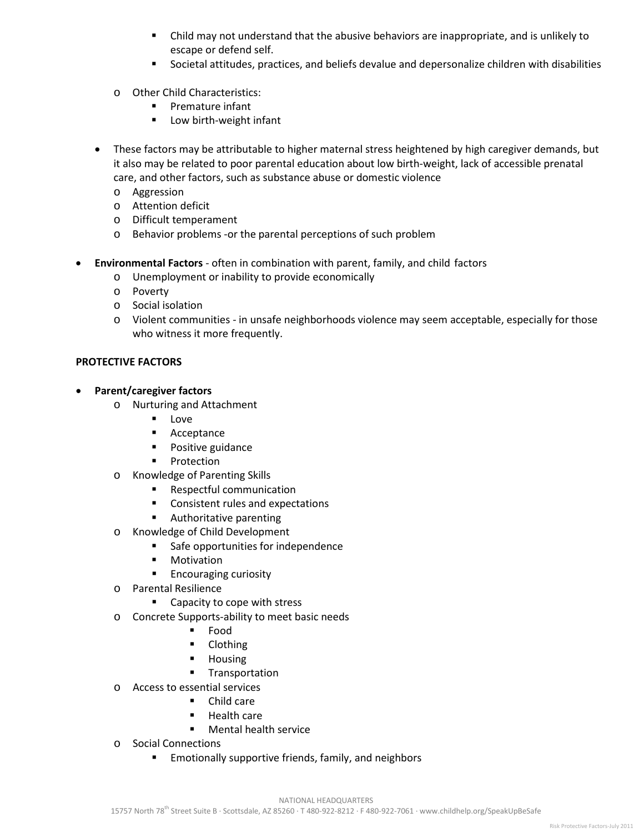- Child may not understand that the abusive behaviors are inappropriate, and is unlikely to escape or defend self.
- Societal attitudes, practices, and beliefs devalue and depersonalize children with disabilities
- o Other Child Characteristics:
	- **Premature infant**
	- **Low birth-weight infant**
- These factors may be attributable to higher maternal stress heightened by high caregiver demands, but it also may be related to poor parental education about low birth-weight, lack of accessible prenatal care, and other factors, such as substance abuse or domestic violence
	- o Aggression
	- o Attention deficit
	- o Difficult temperament
	- o Behavior problems -or the parental perceptions of such problem
- **Environmental Factors**  often in combination with parent, family, and child factors
	- o Unemployment or inability to provide economically
	- o Poverty
	- o Social isolation
	- o Violent communities in unsafe neighborhoods violence may seem acceptable, especially for those who witness it more frequently.

## **PROTECTIVE FACTORS**

- **Parent/caregiver factors**
	- o Nurturing and Attachment
		- **Love**
		- **Acceptance**
		- **Positive guidance**
		- **•** Protection
	- o Knowledge of Parenting Skills
		- **Respectful communication**
		- **EXECONS** Consistent rules and expectations
		- **Authoritative parenting**
	- o Knowledge of Child Development
		- **Safe opportunities for independence**
		- **■** Motivation
		- **Encouraging curiosity**
	- o Parental Resilience
		- Capacity to cope with stress
	- o Concrete Supports-ability to meet basic needs
		- Food
		- **Clothing**
		- Housing
		- **Transportation**
	- o Access to essential services
		- Child care
		- Health care
		- Mental health service
	- o Social Connections
		- Emotionally supportive friends, family, and neighbors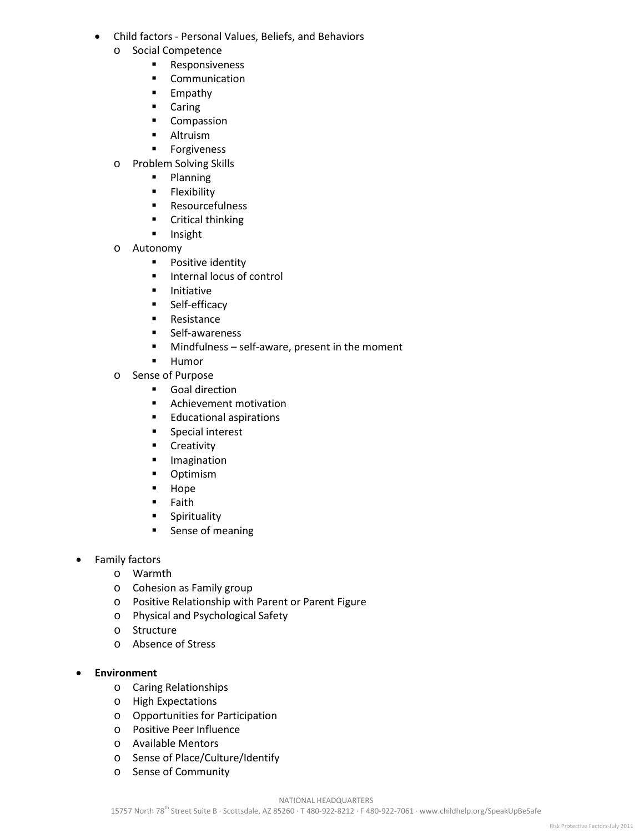- Child factors Personal Values, Beliefs, and Behaviors
	- o Social Competence
		- **Responsiveness**
		- **•** Communication
		- **Empathy**
		- **Caring**
		- **Compassion**
		- **-** Altruism
		- **Forgiveness**
	- o Problem Solving Skills
		- **Planning**
		- **Flexibility**
		- **Resourcefulness**
		- **•** Critical thinking
		- **Insight**
	- o Autonomy<br>Po
		- Positive identity
		- **Internal locus of control**
		- **Initiative**
		- **Self-efficacy**
		- **Resistance**
		- **E** Self-awareness
		- Mindfulness self-aware, present in the moment
		- **Humor**
	- o Sense of Purpose<br>Goal direo
		- Goal direction
		- **Achievement motivation**
		- **Educational aspirations**
		- **Special interest**
		- **•** Creativity
		- **Imagination**
		- **-** Optimism
		- **Hope**
		- **Faith**
		- **Spirituality**
		- **Sense of meaning**
- Family factors
	- o Warmth
	- o Cohesion as Family group
	- o Positive Relationship with Parent or Parent Figure
	- o Physical and Psychological Safety
	- o Structure
	- o Absence of Stress
- **Environment**
	- o Caring Relationships
	- o High Expectations
	- o Opportunities for Participation
	- o Positive Peer Influence
	- o Available Mentors
	- o Sense of Place/Culture/Identify
	- o Sense of Community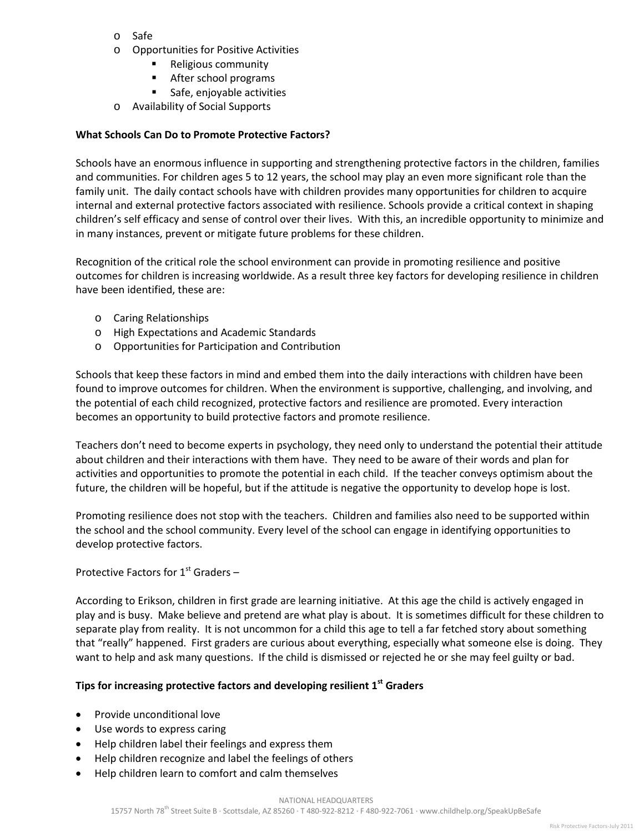- o Safe
- o Opportunities for Positive Activities
	- Religious community
	- After school programs
	- Safe, enjoyable activities
- o Availability of Social Supports

## **What Schools Can Do to Promote Protective Factors?**

Schools have an enormous influence in supporting and strengthening protective factors in the children, families and communities. For children ages 5 to 12 years, the school may play an even more significant role than the family unit. The daily contact schools have with children provides many opportunities for children to acquire internal and external protective factors associated with resilience. Schools provide a critical context in shaping children's self efficacy and sense of control over their lives. With this, an incredible opportunity to minimize and in many instances, prevent or mitigate future problems for these children.

Recognition of the critical role the school environment can provide in promoting resilience and positive outcomes for children is increasing worldwide. As a result three key factors for developing resilience in children have been identified, these are:

- o Caring Relationships
- o High Expectations and Academic Standards
- o Opportunities for Participation and Contribution

Schools that keep these factors in mind and embed them into the daily interactions with children have been found to improve outcomes for children. When the environment is supportive, challenging, and involving, and the potential of each child recognized, protective factors and resilience are promoted. Every interaction becomes an opportunity to build protective factors and promote resilience.

Teachers don't need to become experts in psychology, they need only to understand the potential their attitude about children and their interactions with them have. They need to be aware of their words and plan for activities and opportunities to promote the potential in each child. If the teacher conveys optimism about the future, the children will be hopeful, but if the attitude is negative the opportunity to develop hope is lost.

Promoting resilience does not stop with the teachers. Children and families also need to be supported within the school and the school community. Every level of the school can engage in identifying opportunities to develop protective factors.

Protective Factors for  $1<sup>st</sup>$  Graders –

According to Erikson, children in first grade are learning initiative. At this age the child is actively engaged in play and is busy. Make believe and pretend are what play is about. It is sometimes difficult for these children to separate play from reality. It is not uncommon for a child this age to tell a far fetched story about something that "really" happened. First graders are curious about everything, especially what someone else is doing. They want to help and ask many questions. If the child is dismissed or rejected he or she may feel guilty or bad.

## **Tips for increasing protective factors and developing resilient 1st Graders**

- Provide unconditional love
- Use words to express caring
- Help children label their feelings and express them
- Help children recognize and label the feelings of others
- Help children learn to comfort and calm themselves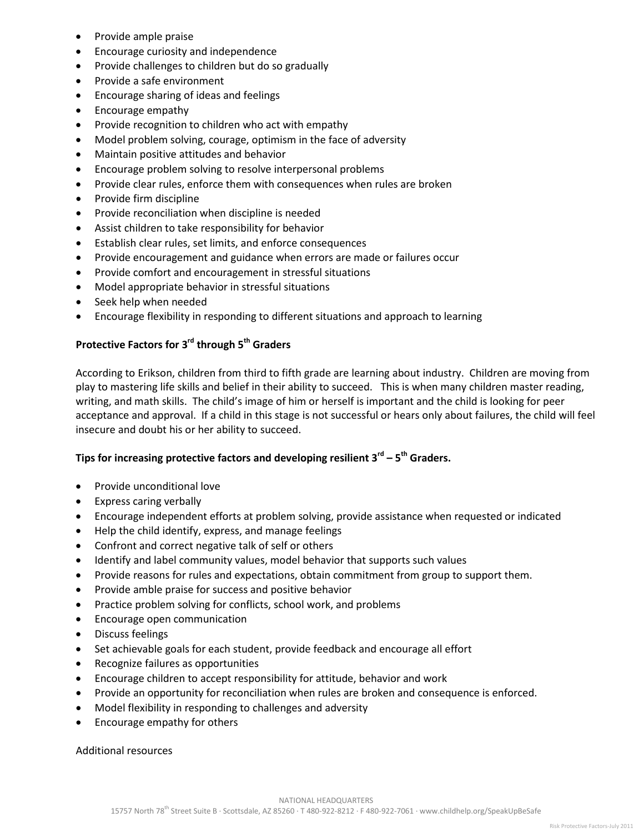- Provide ample praise
- Encourage curiosity and independence
- Provide challenges to children but do so gradually
- Provide a safe environment
- Encourage sharing of ideas and feelings
- Encourage empathy
- Provide recognition to children who act with empathy
- Model problem solving, courage, optimism in the face of adversity
- Maintain positive attitudes and behavior
- Encourage problem solving to resolve interpersonal problems
- Provide clear rules, enforce them with consequences when rules are broken
- Provide firm discipline
- Provide reconciliation when discipline is needed
- Assist children to take responsibility for behavior
- Establish clear rules, set limits, and enforce consequences
- Provide encouragement and guidance when errors are made or failures occur
- Provide comfort and encouragement in stressful situations
- Model appropriate behavior in stressful situations
- Seek help when needed
- Encourage flexibility in responding to different situations and approach to learning

# **Protective Factors for 3rd through 5th Graders**

According to Erikson, children from third to fifth grade are learning about industry. Children are moving from play to mastering life skills and belief in their ability to succeed. This is when many children master reading, writing, and math skills. The child's image of him or herself is important and the child is looking for peer acceptance and approval. If a child in this stage is not successful or hears only about failures, the child will feel insecure and doubt his or her ability to succeed.

## **Tips for increasing protective factors and developing resilient 3rd – 5th Graders.**

- Provide unconditional love
- Express caring verbally
- Encourage independent efforts at problem solving, provide assistance when requested or indicated
- Help the child identify, express, and manage feelings
- Confront and correct negative talk of self or others
- Identify and label community values, model behavior that supports such values
- Provide reasons for rules and expectations, obtain commitment from group to support them.
- Provide amble praise for success and positive behavior
- Practice problem solving for conflicts, school work, and problems
- Encourage open communication
- Discuss feelings
- Set achievable goals for each student, provide feedback and encourage all effort
- Recognize failures as opportunities
- Encourage children to accept responsibility for attitude, behavior and work
- Provide an opportunity for reconciliation when rules are broken and consequence is enforced.
- Model flexibility in responding to challenges and adversity
- Encourage empathy for others

Additional resources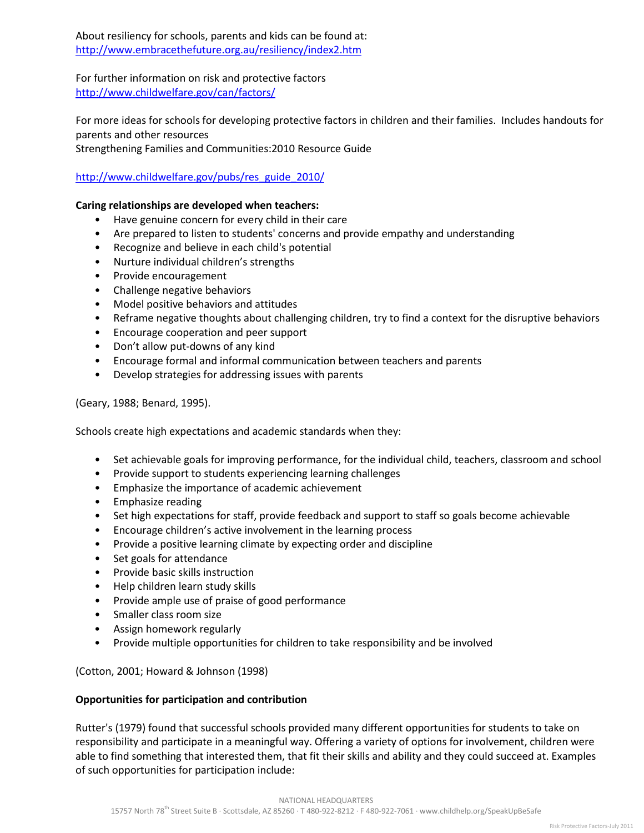About resiliency for schools, parents and kids can be found at: <http://www.embracethefuture.org.au/resiliency/index2.htm>

For further information on risk and protective factors <http://www.childwelfare.gov/can/factors/>

For more ideas for schools for developing protective factors in children and their families. Includes handouts for parents and other resources Strengthening Families and Communities:2010 Resource Guide

## [http://www.childwelfare.gov/pubs/res\\_guide\\_2010/](http://www.childwelfare.gov/pubs/res_guide_2010/)

## **Caring relationships are developed when teachers:**

- Have genuine concern for every child in their care
- Are prepared to listen to students' concerns and provide empathy and understanding
- Recognize and believe in each child's potential
- Nurture individual children's strengths
- Provide encouragement
- Challenge negative behaviors
- Model positive behaviors and attitudes
- Reframe negative thoughts about challenging children, try to find a context for the disruptive behaviors
- Encourage cooperation and peer support
- Don't allow put-downs of any kind
- Encourage formal and informal communication between teachers and parents
- Develop strategies for addressing issues with parents

(Geary, 1988; Benard, 1995).

Schools create high expectations and academic standards when they:

- Set achievable goals for improving performance, for the individual child, teachers, classroom and school
- Provide support to students experiencing learning challenges
- Emphasize the importance of academic achievement
- Emphasize reading
- Set high expectations for staff, provide feedback and support to staff so goals become achievable
- Encourage children's active involvement in the learning process
- Provide a positive learning climate by expecting order and discipline
- Set goals for attendance
- Provide basic skills instruction
- Help children learn study skills
- Provide ample use of praise of good performance
- Smaller class room size
- Assign homework regularly
- Provide multiple opportunities for children to take responsibility and be involved

#### (Cotton, 2001; Howard & Johnson (1998)

#### **Opportunities for participation and contribution**

Rutter's (1979) found that successful schools provided many different opportunities for students to take on responsibility and participate in a meaningful way. Offering a variety of options for involvement, children were able to find something that interested them, that fit their skills and ability and they could succeed at. Examples of such opportunities for participation include: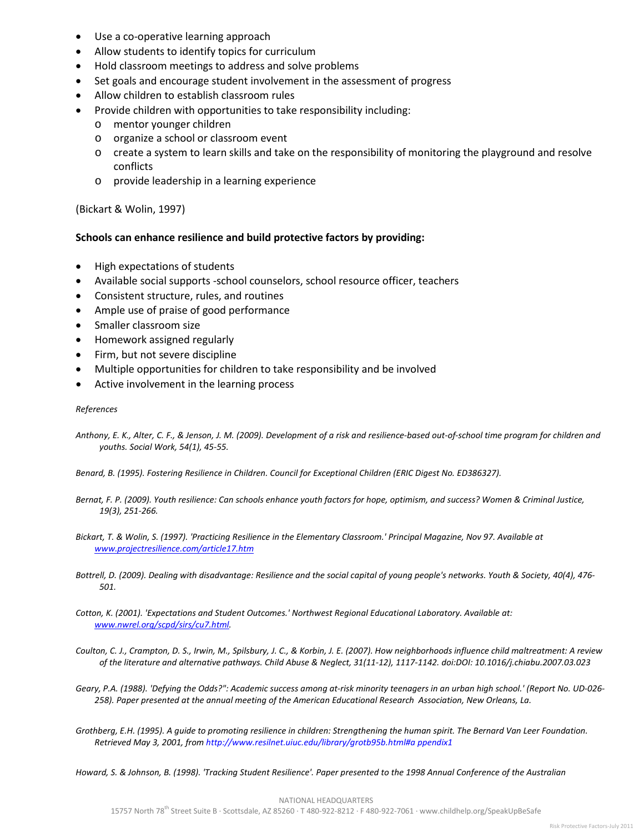- Use a co-operative learning approach
- Allow students to identify topics for curriculum
- Hold classroom meetings to address and solve problems
- Set goals and encourage student involvement in the assessment of progress
- Allow children to establish classroom rules
- Provide children with opportunities to take responsibility including:
	- o mentor younger children
	- o organize a school or classroom event
	- $\circ$  create a system to learn skills and take on the responsibility of monitoring the playground and resolve conflicts
	- o provide leadership in a learning experience

(Bickart & Wolin, 1997)

#### **Schools can enhance resilience and build protective factors by providing:**

- High expectations of students
- Available social supports -school counselors, school resource officer, teachers
- Consistent structure, rules, and routines
- Ample use of praise of good performance
- Smaller classroom size
- Homework assigned regularly
- Firm, but not severe discipline
- Multiple opportunities for children to take responsibility and be involved
- Active involvement in the learning process

#### *References*

*Anthony, E. K., Alter, C. F., & Jenson, J. M. (2009). Development of a risk and resilience-based out-of-school time program for children and youths. Social Work, 54(1), 45-55.* 

*Benard, B. (1995). Fostering Resilience in Children. Council for Exceptional Children (ERIC Digest No. ED386327).*

- *Bernat, F. P. (2009). Youth resilience: Can schools enhance youth factors for hope, optimism, and success? Women & Criminal Justice, 19(3), 251-266.*
- *Bickart, T. & Wolin, S. (1997). 'Practicing Resilience in the Elementary Classroom.' Principal Magazine, Nov 97. Available at [www.projectresilience.com/article17.htm](http://www.projectresilience.com/article17.htm)*
- *Bottrell, D. (2009). Dealing with disadvantage: Resilience and the social capital of young people's networks. Youth & Society, 40(4), 476- 501.*

*Cotton, K. (2001). 'Expectations and Student Outcomes.' Northwest Regional Educational Laboratory. Available at: [www.nwrel.org/scpd/sirs/cu7.html.](http://www.nwrel.org/scpd/sirs/cu7.html)*

*Coulton, C. J., Crampton, D. S., Irwin, M., Spilsbury, J. C., & Korbin, J. E. (2007). How neighborhoods influence child maltreatment: A review of the literature and alternative pathways. Child Abuse & Neglect, 31(11-12), 1117-1142. doi:DOI: 10.1016/j.chiabu.2007.03.023* 

*Geary, P.A. (1988). 'Defying the Odds?": Academic success among at-risk minority teenagers in an urban high school.' (Report No. UD-026- 258). Paper presented at the annual meeting of the American Educational Research Association, New Orleans, La.*

*Grothberg, E.H. (1995). A guide to promoting resilience in children: Strengthening the human spirit. The Bernard Van Leer Foundation. Retrieved May 3, 2001, from http://www.resilnet.uiuc.edu/library/grotb95b.html#a ppendix1*

*Howard, S. & Johnson, B. (1998). 'Tracking Student Resilience'. Paper presented to the 1998 Annual Conference of the Australian*